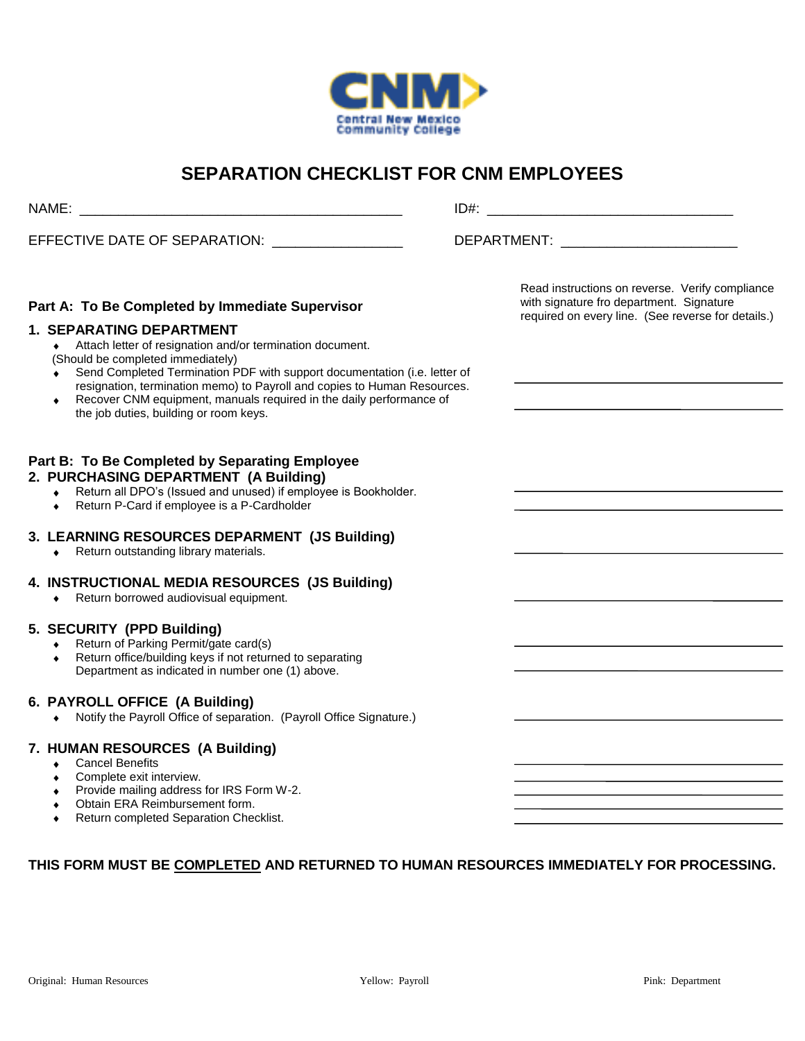

## **SEPARATION CHECKLIST FOR CNM EMPLOYEES**

NAME: \_\_\_\_\_\_\_\_\_\_\_\_\_\_\_\_\_\_\_\_\_\_\_\_\_\_\_\_\_\_\_\_\_\_\_\_\_\_\_\_\_\_ ID#: \_\_\_\_\_\_\_\_\_\_\_\_\_\_\_\_\_\_\_\_\_\_\_\_\_\_\_\_\_\_\_\_

EFFECTIVE DATE OF SEPARATION: \_\_\_\_\_\_\_\_\_\_\_\_\_\_\_\_\_ DEPARTMENT: \_\_\_\_\_\_\_\_\_\_\_\_\_\_\_\_\_\_\_\_\_\_\_ Read instructions on reverse. Verify compliance with signature fro department. Signature **Part A: To Be Completed by Immediate Supervisor** required on every line. (See reverse for details.) **1. SEPARATING DEPARTMENT**  Attach letter of resignation and/or termination document. (Should be completed immediately) Send Completed Termination PDF with support documentation (i.e. letter of  $\blacklozenge$ resignation, termination memo) to Payroll and copies to Human Resources. Recover CNM equipment, manuals required in the daily performance of ٠ the job duties, building or room keys. **Part B: To Be Completed by Separating Employee 2. PURCHASING DEPARTMENT (A Building)** Return all DPO's (Issued and unused) if employee is Bookholder. Return P-Card if employee is a P-Cardholder  $\bullet$ **3. LEARNING RESOURCES DEPARMENT (JS Building)** ◆ Return outstanding library materials. **4. INSTRUCTIONAL MEDIA RESOURCES (JS Building)** ◆ Return borrowed audiovisual equipment. **5. SECURITY (PPD Building)** Return of Parking Permit/gate card(s)  $\blacklozenge$ Return office/building keys if not returned to separating Department as indicated in number one (1) above. **6. PAYROLL OFFICE (A Building)** • Notify the Payroll Office of separation. (Payroll Office Signature.) **7. HUMAN RESOURCES (A Building)** Cancel Benefits Complete exit interview.  $\bullet$ Provide mailing address for IRS Form W-2.  $\bullet$ 

- Obtain ERA Reimbursement form.
- Return completed Separation Checklist.  $\bullet$

## **THIS FORM MUST BE COMPLETED AND RETURNED TO HUMAN RESOURCES IMMEDIATELY FOR PROCESSING.**